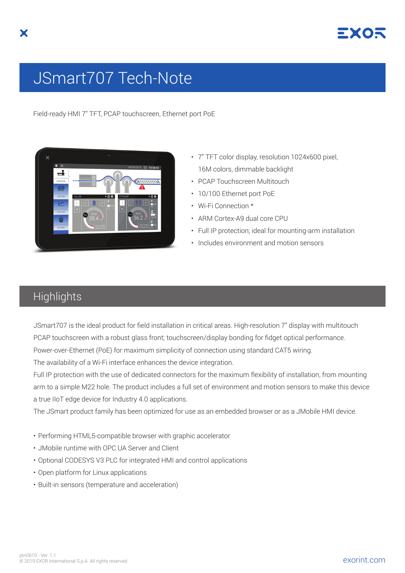

## JSmart707 Tech-Note

Field-ready HMI 7" TFT, PCAP touchscreen, Ethernet port PoE



- 7" TFT color display, resolution 1024x600 pixel, 16M colors, dimmable backlight
- PCAP Touchscreen Multitouch
- 10/100 Ethernet port PoE
- Wi-Fi Connection \*
- ARM Cortex-A9 dual core CPU
- Full IP protection; ideal for mounting-arm installation
- Includes environment and motion sensors

## **Highlights**

JSmart707 is the ideal product for field installation in critical areas. High-resolution 7" display with multitouch PCAP touchscreen with a robust glass front; touchscreen/display bonding for fidget optical performance. Power-over-Ethernet (PoE) for maximum simplicity of connection using standard CAT5 wiring.

The availability of a Wi-Fi interface enhances the device integration.

Full IP protection with the use of dedicated connectors for the maximum flexibility of installation, from mounting arm to a simple M22 hole. The product includes a full set of environment and motion sensors to make this device a true IIoT edge device for Industry 4.0 applications.

The JSmart product family has been optimized for use as an embedded browser or as a JMobile HMI device.

- Performing HTML5-compatible browser with graphic accelerator
- JMobile runtime with OPC UA Server and Client
- Optional CODESYS V3 PLC for integrated HMI and control applications
- Open platform for Linux applications
- Built-in sensors (temperature and acceleration)